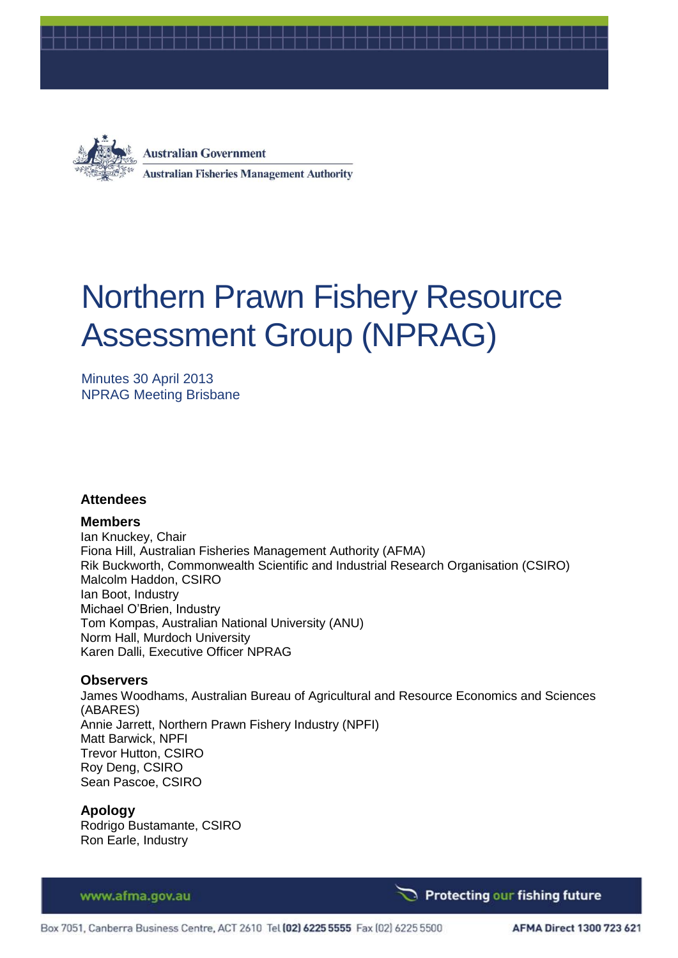



**Australian Government Australian Fisheries Management Authority** 

# Northern Prawn Fishery Resource Assessment Group (NPRAG)

Minutes 30 April 2013 NPRAG Meeting Brisbane

## **Attendees**

## **Members**

Ian Knuckey, Chair Fiona Hill, Australian Fisheries Management Authority (AFMA) Rik Buckworth, Commonwealth Scientific and Industrial Research Organisation (CSIRO) Malcolm Haddon, CSIRO Ian Boot, Industry Michael O'Brien, Industry Tom Kompas, Australian National University (ANU) Norm Hall, Murdoch University Karen Dalli, Executive Officer NPRAG

## **Observers**

James Woodhams, Australian Bureau of Agricultural and Resource Economics and Sciences (ABARES) Annie Jarrett, Northern Prawn Fishery Industry (NPFI) Matt Barwick, NPFI Trevor Hutton, CSIRO Roy Deng, CSIRO Sean Pascoe, CSIRO

## **Apology**

Rodrigo Bustamante, CSIRO Ron Earle, Industry

www.afma.gov.au

**Protecting our fishing future**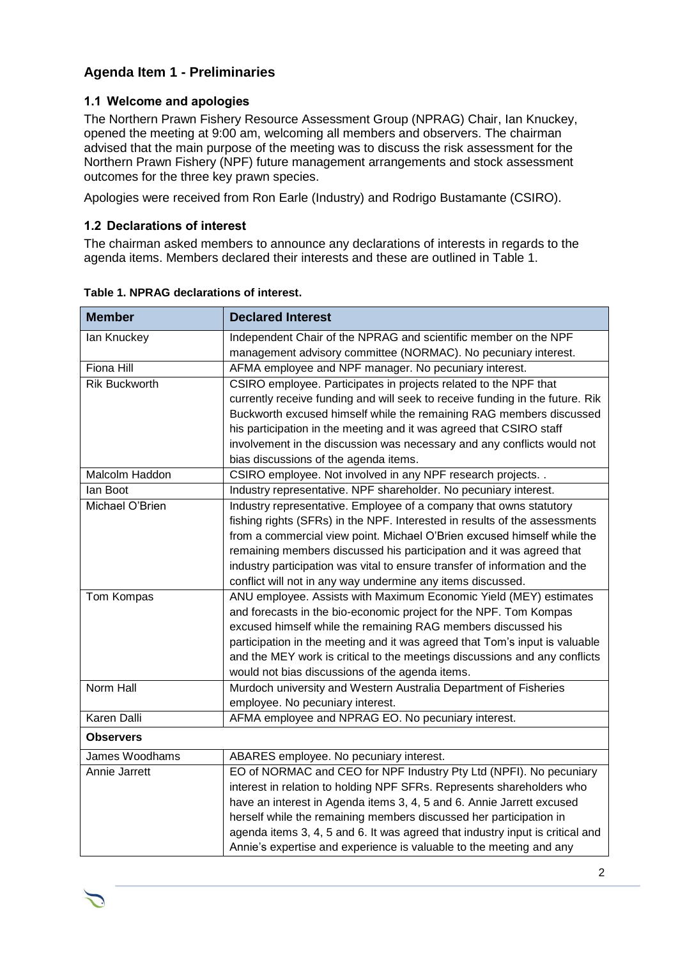# **Agenda Item 1 - Preliminaries**

## **1.1 Welcome and apologies**

The Northern Prawn Fishery Resource Assessment Group (NPRAG) Chair, Ian Knuckey, opened the meeting at 9:00 am, welcoming all members and observers. The chairman advised that the main purpose of the meeting was to discuss the risk assessment for the Northern Prawn Fishery (NPF) future management arrangements and stock assessment outcomes for the three key prawn species.

Apologies were received from Ron Earle (Industry) and Rodrigo Bustamante (CSIRO).

## **1.2 Declarations of interest**

The chairman asked members to announce any declarations of interests in regards to the agenda items. Members declared their interests and these are outlined in [Table 1.](#page-1-0)

| <b>Member</b>        | <b>Declared Interest</b>                                                                                                          |
|----------------------|-----------------------------------------------------------------------------------------------------------------------------------|
| lan Knuckey          | Independent Chair of the NPRAG and scientific member on the NPF<br>management advisory committee (NORMAC). No pecuniary interest. |
| <b>Fiona Hill</b>    | AFMA employee and NPF manager. No pecuniary interest.                                                                             |
| <b>Rik Buckworth</b> | CSIRO employee. Participates in projects related to the NPF that                                                                  |
|                      | currently receive funding and will seek to receive funding in the future. Rik                                                     |
|                      | Buckworth excused himself while the remaining RAG members discussed                                                               |
|                      | his participation in the meeting and it was agreed that CSIRO staff                                                               |
|                      | involvement in the discussion was necessary and any conflicts would not                                                           |
|                      | bias discussions of the agenda items.                                                                                             |
| Malcolm Haddon       | CSIRO employee. Not involved in any NPF research projects. .                                                                      |
| lan Boot             | Industry representative. NPF shareholder. No pecuniary interest.                                                                  |
| Michael O'Brien      | Industry representative. Employee of a company that owns statutory                                                                |
|                      | fishing rights (SFRs) in the NPF. Interested in results of the assessments                                                        |
|                      | from a commercial view point. Michael O'Brien excused himself while the                                                           |
|                      | remaining members discussed his participation and it was agreed that                                                              |
|                      | industry participation was vital to ensure transfer of information and the                                                        |
|                      | conflict will not in any way undermine any items discussed.                                                                       |
| Tom Kompas           | ANU employee. Assists with Maximum Economic Yield (MEY) estimates                                                                 |
|                      | and forecasts in the bio-economic project for the NPF. Tom Kompas                                                                 |
|                      | excused himself while the remaining RAG members discussed his                                                                     |
|                      | participation in the meeting and it was agreed that Tom's input is valuable                                                       |
|                      | and the MEY work is critical to the meetings discussions and any conflicts                                                        |
|                      | would not bias discussions of the agenda items.                                                                                   |
| Norm Hall            | Murdoch university and Western Australia Department of Fisheries                                                                  |
|                      | employee. No pecuniary interest.                                                                                                  |
| <b>Karen Dalli</b>   | AFMA employee and NPRAG EO. No pecuniary interest.                                                                                |
| <b>Observers</b>     |                                                                                                                                   |
| James Woodhams       | ABARES employee. No pecuniary interest.                                                                                           |
| Annie Jarrett        | EO of NORMAC and CEO for NPF Industry Pty Ltd (NPFI). No pecuniary                                                                |
|                      | interest in relation to holding NPF SFRs. Represents shareholders who                                                             |
|                      | have an interest in Agenda items 3, 4, 5 and 6. Annie Jarrett excused                                                             |
|                      | herself while the remaining members discussed her participation in                                                                |
|                      | agenda items 3, 4, 5 and 6. It was agreed that industry input is critical and                                                     |
|                      | Annie's expertise and experience is valuable to the meeting and any                                                               |

<span id="page-1-0"></span>**Table 1. NPRAG declarations of interest.**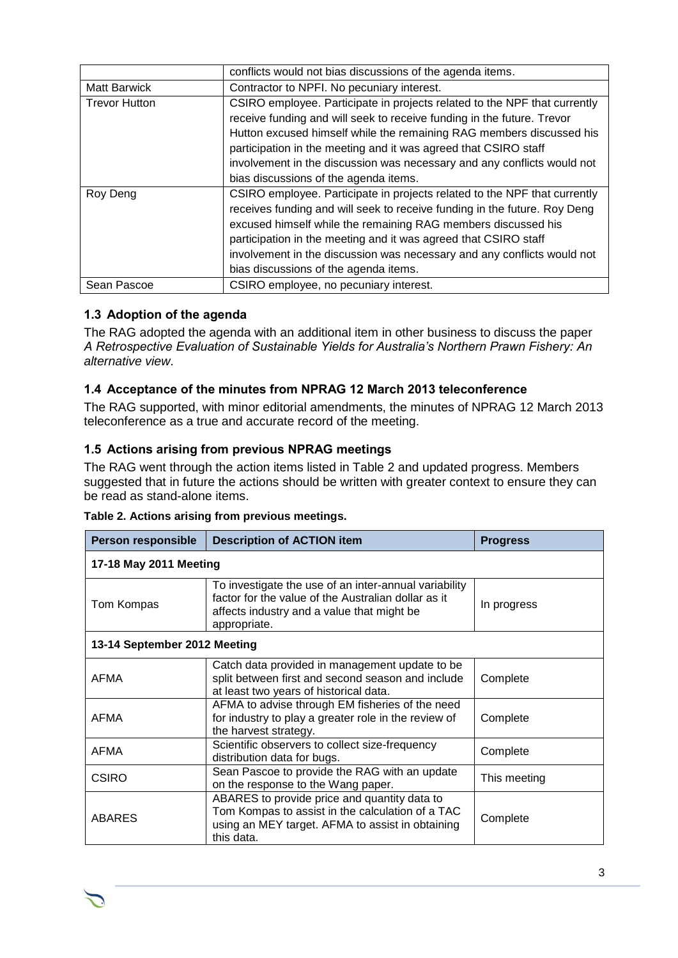|                      | conflicts would not bias discussions of the agenda items.                 |
|----------------------|---------------------------------------------------------------------------|
| <b>Matt Barwick</b>  | Contractor to NPFI. No pecuniary interest.                                |
| <b>Trevor Hutton</b> | CSIRO employee. Participate in projects related to the NPF that currently |
|                      | receive funding and will seek to receive funding in the future. Trevor    |
|                      | Hutton excused himself while the remaining RAG members discussed his      |
|                      | participation in the meeting and it was agreed that CSIRO staff           |
|                      | involvement in the discussion was necessary and any conflicts would not   |
|                      | bias discussions of the agenda items.                                     |
| Roy Deng             | CSIRO employee. Participate in projects related to the NPF that currently |
|                      | receives funding and will seek to receive funding in the future. Roy Deng |
|                      | excused himself while the remaining RAG members discussed his             |
|                      | participation in the meeting and it was agreed that CSIRO staff           |
|                      | involvement in the discussion was necessary and any conflicts would not   |
|                      | bias discussions of the agenda items.                                     |
| Sean Pascoe          | CSIRO employee, no pecuniary interest.                                    |

## **1.3 Adoption of the agenda**

The RAG adopted the agenda with an additional item in other business to discuss the paper *A Retrospective Evaluation of Sustainable Yields for Australia's Northern Prawn Fishery: An alternative view*.

## **1.4 Acceptance of the minutes from NPRAG 12 March 2013 teleconference**

The RAG supported, with minor editorial amendments, the minutes of NPRAG 12 March 2013 teleconference as a true and accurate record of the meeting.

## **1.5 Actions arising from previous NPRAG meetings**

The RAG went through the action items listed in [Table 2](#page-2-0) and updated progress. Members suggested that in future the actions should be written with greater context to ensure they can be read as stand-alone items.

| <b>Person responsible</b>    | <b>Description of ACTION item</b>                                                                                                                                          | <b>Progress</b> |  |
|------------------------------|----------------------------------------------------------------------------------------------------------------------------------------------------------------------------|-----------------|--|
| 17-18 May 2011 Meeting       |                                                                                                                                                                            |                 |  |
| Tom Kompas                   | To investigate the use of an inter-annual variability<br>factor for the value of the Australian dollar as it<br>affects industry and a value that might be<br>appropriate. | In progress     |  |
| 13-14 September 2012 Meeting |                                                                                                                                                                            |                 |  |
| AFMA                         | Catch data provided in management update to be<br>split between first and second season and include<br>at least two years of historical data.                              | Complete        |  |
| <b>AFMA</b>                  | AFMA to advise through EM fisheries of the need<br>for industry to play a greater role in the review of<br>the harvest strategy.                                           |                 |  |
| <b>AFMA</b>                  | Scientific observers to collect size-frequency<br>distribution data for bugs.                                                                                              | Complete        |  |
| <b>CSIRO</b>                 | Sean Pascoe to provide the RAG with an update<br>on the response to the Wang paper.                                                                                        | This meeting    |  |
| <b>ABARES</b>                | ABARES to provide price and quantity data to<br>Tom Kompas to assist in the calculation of a TAC<br>using an MEY target. AFMA to assist in obtaining<br>this data.         | Complete        |  |

<span id="page-2-0"></span>

|  | Table 2. Actions arising from previous meetings. |  |
|--|--------------------------------------------------|--|
|  |                                                  |  |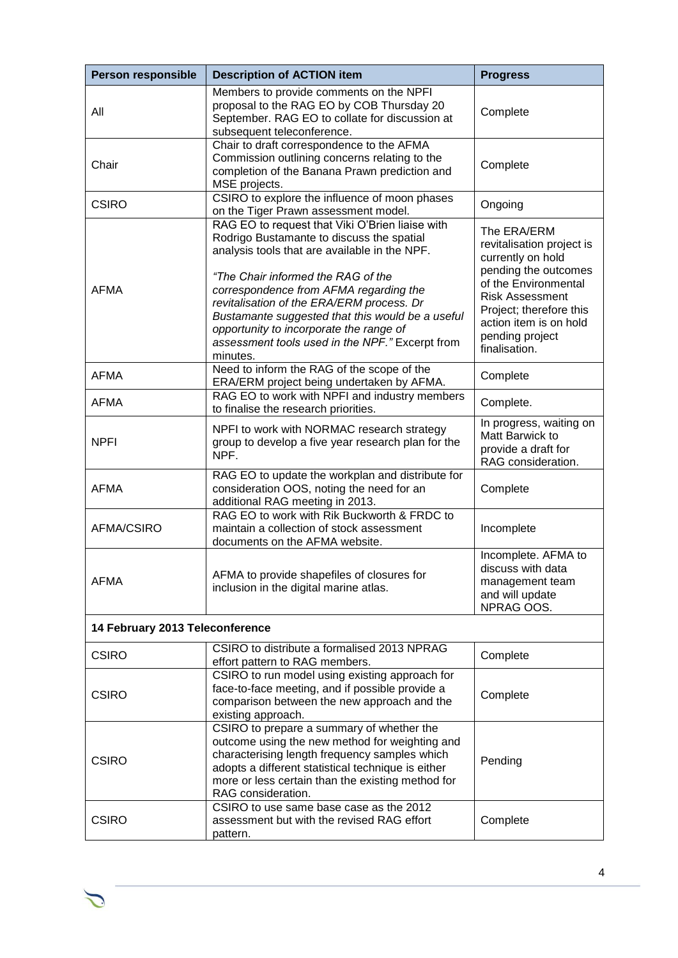| <b>Person responsible</b> | <b>Description of ACTION item</b>                                                                                                                                                                                                                                                                                                                                                                                                        | <b>Progress</b>                                                                                                                                                                                                                  |  |  |  |
|---------------------------|------------------------------------------------------------------------------------------------------------------------------------------------------------------------------------------------------------------------------------------------------------------------------------------------------------------------------------------------------------------------------------------------------------------------------------------|----------------------------------------------------------------------------------------------------------------------------------------------------------------------------------------------------------------------------------|--|--|--|
| All                       | Members to provide comments on the NPFI<br>proposal to the RAG EO by COB Thursday 20<br>September. RAG EO to collate for discussion at<br>subsequent teleconference.                                                                                                                                                                                                                                                                     | Complete                                                                                                                                                                                                                         |  |  |  |
| Chair                     | Chair to draft correspondence to the AFMA<br>Commission outlining concerns relating to the<br>completion of the Banana Prawn prediction and<br>MSE projects.                                                                                                                                                                                                                                                                             | Complete                                                                                                                                                                                                                         |  |  |  |
| <b>CSIRO</b>              | CSIRO to explore the influence of moon phases<br>on the Tiger Prawn assessment model.                                                                                                                                                                                                                                                                                                                                                    | Ongoing                                                                                                                                                                                                                          |  |  |  |
| <b>AFMA</b>               | RAG EO to request that Viki O'Brien liaise with<br>Rodrigo Bustamante to discuss the spatial<br>analysis tools that are available in the NPF.<br>"The Chair informed the RAG of the<br>correspondence from AFMA regarding the<br>revitalisation of the ERA/ERM process. Dr<br>Bustamante suggested that this would be a useful<br>opportunity to incorporate the range of<br>assessment tools used in the NPF." Excerpt from<br>minutes. | The ERA/ERM<br>revitalisation project is<br>currently on hold<br>pending the outcomes<br>of the Environmental<br><b>Risk Assessment</b><br>Project; therefore this<br>action item is on hold<br>pending project<br>finalisation. |  |  |  |
| <b>AFMA</b>               | Need to inform the RAG of the scope of the<br>ERA/ERM project being undertaken by AFMA.                                                                                                                                                                                                                                                                                                                                                  | Complete                                                                                                                                                                                                                         |  |  |  |
| <b>AFMA</b>               | RAG EO to work with NPFI and industry members<br>to finalise the research priorities.                                                                                                                                                                                                                                                                                                                                                    | Complete.                                                                                                                                                                                                                        |  |  |  |
| <b>NPFI</b>               | NPFI to work with NORMAC research strategy<br>group to develop a five year research plan for the<br>NPF.                                                                                                                                                                                                                                                                                                                                 | In progress, waiting on<br>Matt Barwick to<br>provide a draft for<br>RAG consideration.                                                                                                                                          |  |  |  |
| <b>AFMA</b>               | RAG EO to update the workplan and distribute for<br>consideration OOS, noting the need for an<br>additional RAG meeting in 2013.                                                                                                                                                                                                                                                                                                         | Complete                                                                                                                                                                                                                         |  |  |  |
| AFMA/CSIRO                | RAG EO to work with Rik Buckworth & FRDC to<br>maintain a collection of stock assessment<br>documents on the AFMA website.                                                                                                                                                                                                                                                                                                               | Incomplete                                                                                                                                                                                                                       |  |  |  |
| <b>AFMA</b>               | AFMA to provide shapefiles of closures for<br>inclusion in the digital marine atlas.                                                                                                                                                                                                                                                                                                                                                     | Incomplete. AFMA to<br>discuss with data<br>management team<br>and will update<br>NPRAG OOS.                                                                                                                                     |  |  |  |
|                           | 14 February 2013 Teleconference                                                                                                                                                                                                                                                                                                                                                                                                          |                                                                                                                                                                                                                                  |  |  |  |
| <b>CSIRO</b>              | CSIRO to distribute a formalised 2013 NPRAG<br>effort pattern to RAG members.                                                                                                                                                                                                                                                                                                                                                            | Complete                                                                                                                                                                                                                         |  |  |  |
| <b>CSIRO</b>              | CSIRO to run model using existing approach for<br>face-to-face meeting, and if possible provide a<br>comparison between the new approach and the<br>existing approach.                                                                                                                                                                                                                                                                   |                                                                                                                                                                                                                                  |  |  |  |
| <b>CSIRO</b>              | CSIRO to prepare a summary of whether the<br>outcome using the new method for weighting and<br>characterising length frequency samples which<br>adopts a different statistical technique is either<br>more or less certain than the existing method for<br>RAG consideration.                                                                                                                                                            | Pending                                                                                                                                                                                                                          |  |  |  |
| <b>CSIRO</b>              | CSIRO to use same base case as the 2012<br>assessment but with the revised RAG effort<br>pattern.                                                                                                                                                                                                                                                                                                                                        | Complete                                                                                                                                                                                                                         |  |  |  |

 $\mathcal{L}$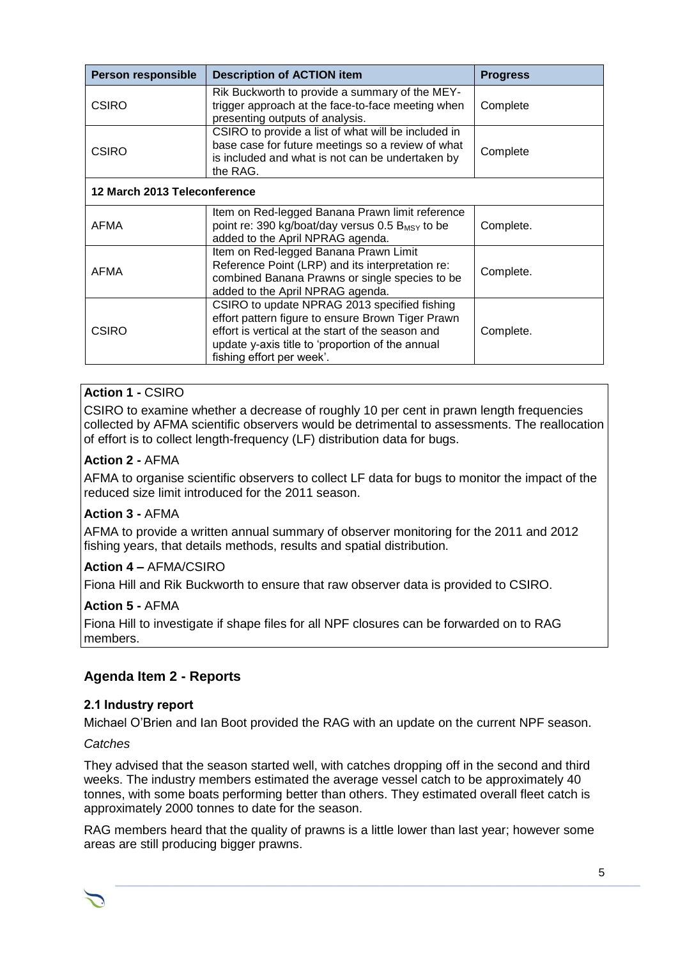| <b>Person responsible</b>    | <b>Description of ACTION item</b>                                                                                                                                                                                                       | <b>Progress</b> |  |
|------------------------------|-----------------------------------------------------------------------------------------------------------------------------------------------------------------------------------------------------------------------------------------|-----------------|--|
| <b>CSIRO</b>                 | Rik Buckworth to provide a summary of the MEY-<br>trigger approach at the face-to-face meeting when<br>presenting outputs of analysis.                                                                                                  | Complete        |  |
| <b>CSIRO</b>                 | CSIRO to provide a list of what will be included in<br>base case for future meetings so a review of what<br>is included and what is not can be undertaken by<br>the RAG.                                                                | Complete        |  |
| 12 March 2013 Teleconference |                                                                                                                                                                                                                                         |                 |  |
| AFMA                         | Item on Red-legged Banana Prawn limit reference<br>point re: 390 kg/boat/day versus 0.5 B <sub>MSY</sub> to be<br>added to the April NPRAG agenda.                                                                                      | Complete.       |  |
| AFMA                         | Item on Red-legged Banana Prawn Limit<br>Reference Point (LRP) and its interpretation re:<br>combined Banana Prawns or single species to be<br>added to the April NPRAG agenda.                                                         |                 |  |
| <b>CSIRO</b>                 | CSIRO to update NPRAG 2013 specified fishing<br>effort pattern figure to ensure Brown Tiger Prawn<br>effort is vertical at the start of the season and<br>update y-axis title to 'proportion of the annual<br>fishing effort per week'. | Complete.       |  |

## **Action 1 -** CSIRO

CSIRO to examine whether a decrease of roughly 10 per cent in prawn length frequencies collected by AFMA scientific observers would be detrimental to assessments. The reallocation of effort is to collect length-frequency (LF) distribution data for bugs.

## **Action 2 -** AFMA

AFMA to organise scientific observers to collect LF data for bugs to monitor the impact of the reduced size limit introduced for the 2011 season.

## **Action 3 -** AFMA

AFMA to provide a written annual summary of observer monitoring for the 2011 and 2012 fishing years, that details methods, results and spatial distribution.

## **Action 4 –** AFMA/CSIRO

Fiona Hill and Rik Buckworth to ensure that raw observer data is provided to CSIRO.

## **Action 5 -** AFMA

Fiona Hill to investigate if shape files for all NPF closures can be forwarded on to RAG members.

## **Agenda Item 2 - Reports**

#### **2.1 Industry report**

Michael O'Brien and Ian Boot provided the RAG with an update on the current NPF season.

#### *Catches*

They advised that the season started well, with catches dropping off in the second and third weeks. The industry members estimated the average vessel catch to be approximately 40 tonnes, with some boats performing better than others. They estimated overall fleet catch is approximately 2000 tonnes to date for the season.

RAG members heard that the quality of prawns is a little lower than last year; however some areas are still producing bigger prawns.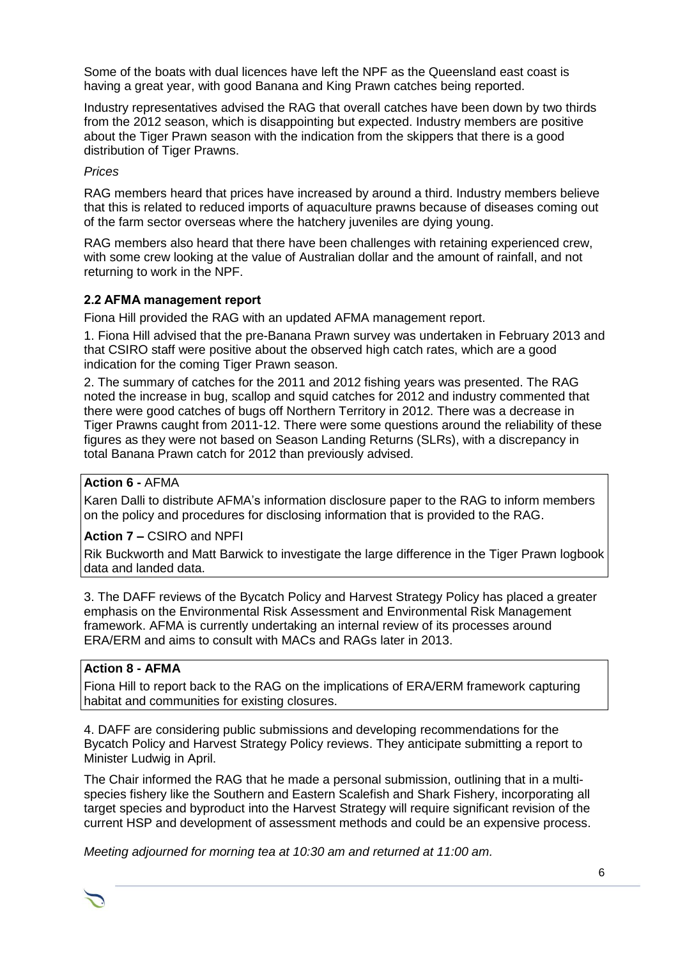Some of the boats with dual licences have left the NPF as the Queensland east coast is having a great year, with good Banana and King Prawn catches being reported.

Industry representatives advised the RAG that overall catches have been down by two thirds from the 2012 season, which is disappointing but expected. Industry members are positive about the Tiger Prawn season with the indication from the skippers that there is a good distribution of Tiger Prawns.

## *Prices*

RAG members heard that prices have increased by around a third. Industry members believe that this is related to reduced imports of aquaculture prawns because of diseases coming out of the farm sector overseas where the hatchery juveniles are dying young.

RAG members also heard that there have been challenges with retaining experienced crew, with some crew looking at the value of Australian dollar and the amount of rainfall, and not returning to work in the NPF.

## **2.2 AFMA management report**

Fiona Hill provided the RAG with an updated AFMA management report.

1. Fiona Hill advised that the pre-Banana Prawn survey was undertaken in February 2013 and that CSIRO staff were positive about the observed high catch rates, which are a good indication for the coming Tiger Prawn season.

2. The summary of catches for the 2011 and 2012 fishing years was presented. The RAG noted the increase in bug, scallop and squid catches for 2012 and industry commented that there were good catches of bugs off Northern Territory in 2012. There was a decrease in Tiger Prawns caught from 2011-12. There were some questions around the reliability of these figures as they were not based on Season Landing Returns (SLRs), with a discrepancy in total Banana Prawn catch for 2012 than previously advised.

## **Action 6 -** AFMA

Karen Dalli to distribute AFMA's information disclosure paper to the RAG to inform members on the policy and procedures for disclosing information that is provided to the RAG.

**Action 7 –** CSIRO and NPFI

Rik Buckworth and Matt Barwick to investigate the large difference in the Tiger Prawn logbook data and landed data.

3. The DAFF reviews of the Bycatch Policy and Harvest Strategy Policy has placed a greater emphasis on the Environmental Risk Assessment and Environmental Risk Management framework. AFMA is currently undertaking an internal review of its processes around ERA/ERM and aims to consult with MACs and RAGs later in 2013.

## **Action 8 - AFMA**

Fiona Hill to report back to the RAG on the implications of ERA/ERM framework capturing habitat and communities for existing closures.

4. DAFF are considering public submissions and developing recommendations for the Bycatch Policy and Harvest Strategy Policy reviews. They anticipate submitting a report to Minister Ludwig in April.

The Chair informed the RAG that he made a personal submission, outlining that in a multispecies fishery like the Southern and Eastern Scalefish and Shark Fishery, incorporating all target species and byproduct into the Harvest Strategy will require significant revision of the current HSP and development of assessment methods and could be an expensive process.

*Meeting adjourned for morning tea at 10:30 am and returned at 11:00 am.*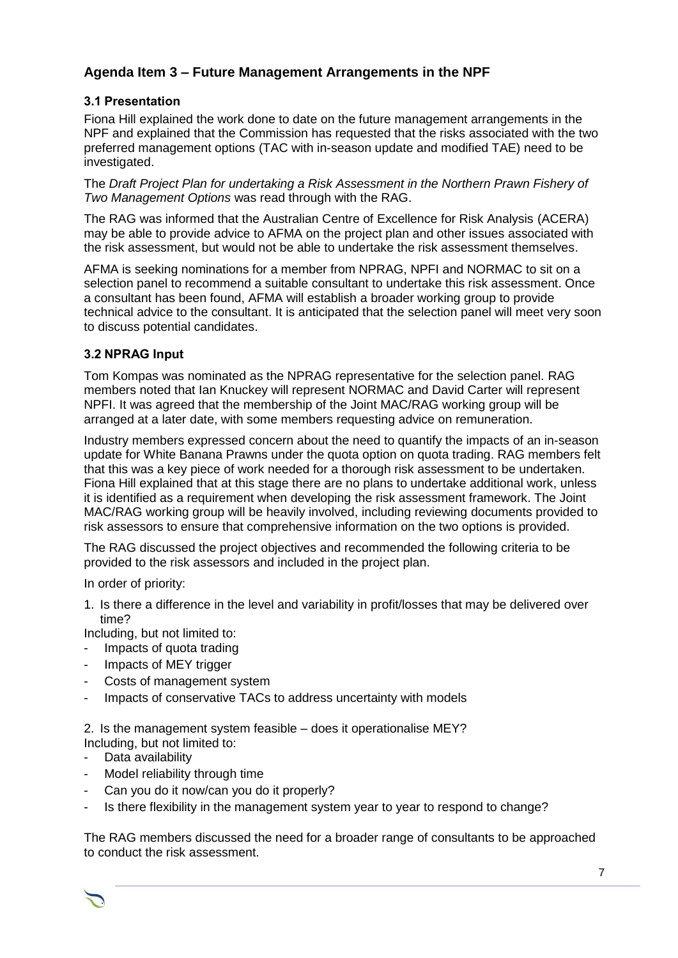# **Agenda Item 3 – Future Management Arrangements in the NPF**

## **3.1 Presentation**

Fiona Hill explained the work done to date on the future management arrangements in the NPF and explained that the Commission has requested that the risks associated with the two preferred management options (TAC with in-season update and modified TAE) need to be investigated.

The *Draft Project Plan for undertaking a Risk Assessment in the Northern Prawn Fishery of Two Management Options* was read through with the RAG.

The RAG was informed that the Australian Centre of Excellence for Risk Analysis (ACERA) may be able to provide advice to AFMA on the project plan and other issues associated with the risk assessment, but would not be able to undertake the risk assessment themselves.

AFMA is seeking nominations for a member from NPRAG, NPFI and NORMAC to sit on a selection panel to recommend a suitable consultant to undertake this risk assessment. Once a consultant has been found, AFMA will establish a broader working group to provide technical advice to the consultant. It is anticipated that the selection panel will meet very soon to discuss potential candidates.

## **3.2 NPRAG Input**

Tom Kompas was nominated as the NPRAG representative for the selection panel. RAG members noted that Ian Knuckey will represent NORMAC and David Carter will represent NPFI. It was agreed that the membership of the Joint MAC/RAG working group will be arranged at a later date, with some members requesting advice on remuneration.

Industry members expressed concern about the need to quantify the impacts of an in-season update for White Banana Prawns under the quota option on quota trading. RAG members felt that this was a key piece of work needed for a thorough risk assessment to be undertaken. Fiona Hill explained that at this stage there are no plans to undertake additional work, unless it is identified as a requirement when developing the risk assessment framework. The Joint MAC/RAG working group will be heavily involved, including reviewing documents provided to risk assessors to ensure that comprehensive information on the two options is provided.

The RAG discussed the project objectives and recommended the following criteria to be provided to the risk assessors and included in the project plan.

In order of priority:

1. Is there a difference in the level and variability in profit/losses that may be delivered over time?

Including, but not limited to:

- Impacts of quota trading
- Impacts of MEY trigger
- Costs of management system
- Impacts of conservative TACs to address uncertainty with models

2. Is the management system feasible – does it operationalise MEY? Including, but not limited to:

- Data availability
- Model reliability through time
- Can you do it now/can you do it properly?
- Is there flexibility in the management system year to year to respond to change?

The RAG members discussed the need for a broader range of consultants to be approached to conduct the risk assessment.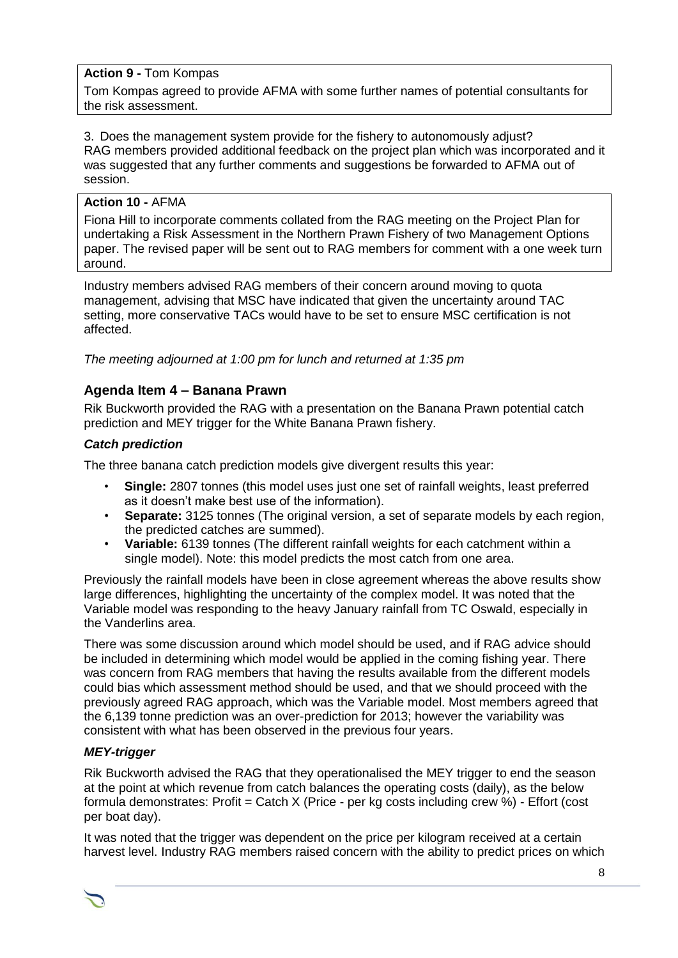## **Action 9 -** Tom Kompas

Tom Kompas agreed to provide AFMA with some further names of potential consultants for the risk assessment.

#### 3. Does the management system provide for the fishery to autonomously adjust? RAG members provided additional feedback on the project plan which was incorporated and it was suggested that any further comments and suggestions be forwarded to AFMA out of session.

## **Action 10 -** AFMA

Fiona Hill to incorporate comments collated from the RAG meeting on the Project Plan for undertaking a Risk Assessment in the Northern Prawn Fishery of two Management Options paper. The revised paper will be sent out to RAG members for comment with a one week turn around.

Industry members advised RAG members of their concern around moving to quota management, advising that MSC have indicated that given the uncertainty around TAC setting, more conservative TACs would have to be set to ensure MSC certification is not affected.

*The meeting adjourned at 1:00 pm for lunch and returned at 1:35 pm*

## **Agenda Item 4 – Banana Prawn**

Rik Buckworth provided the RAG with a presentation on the Banana Prawn potential catch prediction and MEY trigger for the White Banana Prawn fishery.

#### *Catch prediction*

The three banana catch prediction models give divergent results this year:

- **Single:** 2807 tonnes (this model uses just one set of rainfall weights, least preferred as it doesn't make best use of the information).
- **Separate:** 3125 tonnes (The original version, a set of separate models by each region, the predicted catches are summed).
- **Variable:** 6139 tonnes (The different rainfall weights for each catchment within a single model). Note: this model predicts the most catch from one area.

Previously the rainfall models have been in close agreement whereas the above results show large differences, highlighting the uncertainty of the complex model. It was noted that the Variable model was responding to the heavy January rainfall from TC Oswald, especially in the Vanderlins area.

There was some discussion around which model should be used, and if RAG advice should be included in determining which model would be applied in the coming fishing year. There was concern from RAG members that having the results available from the different models could bias which assessment method should be used, and that we should proceed with the previously agreed RAG approach, which was the Variable model. Most members agreed that the 6,139 tonne prediction was an over-prediction for 2013; however the variability was consistent with what has been observed in the previous four years.

## *MEY-trigger*

Rik Buckworth advised the RAG that they operationalised the MEY trigger to end the season at the point at which revenue from catch balances the operating costs (daily), as the below formula demonstrates: Profit = Catch X (Price - per kg costs including crew %) - Effort (cost per boat day).

It was noted that the trigger was dependent on the price per kilogram received at a certain harvest level. Industry RAG members raised concern with the ability to predict prices on which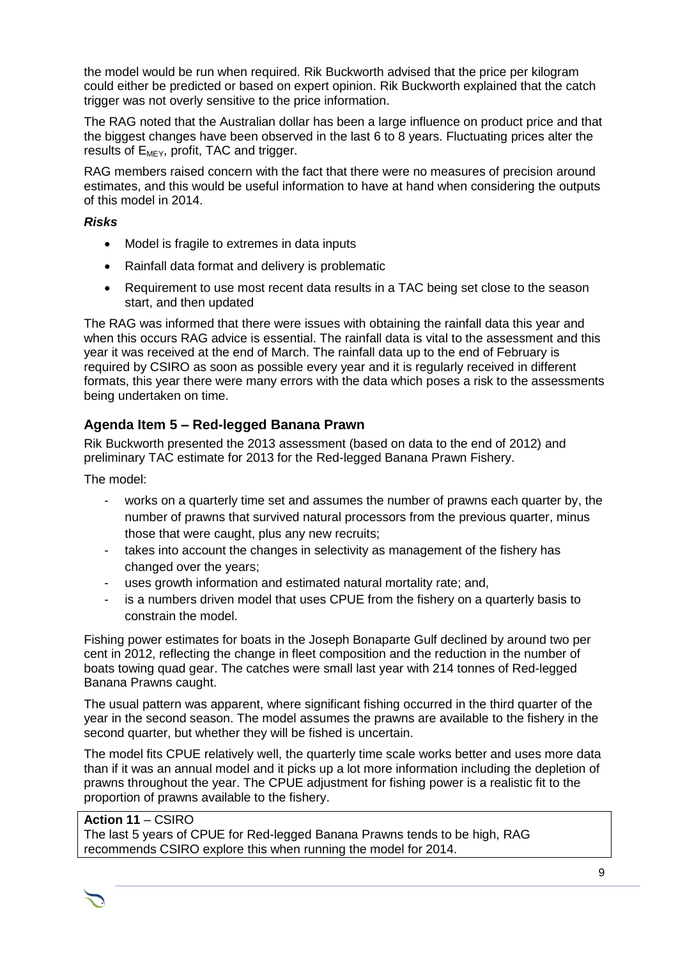the model would be run when required. Rik Buckworth advised that the price per kilogram could either be predicted or based on expert opinion. Rik Buckworth explained that the catch trigger was not overly sensitive to the price information.

The RAG noted that the Australian dollar has been a large influence on product price and that the biggest changes have been observed in the last 6 to 8 years. Fluctuating prices alter the results of  $E_{MEY}$ , profit, TAC and trigger.

RAG members raised concern with the fact that there were no measures of precision around estimates, and this would be useful information to have at hand when considering the outputs of this model in 2014.

## *Risks*

- Model is fragile to extremes in data inputs
- Rainfall data format and delivery is problematic
- Requirement to use most recent data results in a TAC being set close to the season start, and then updated

The RAG was informed that there were issues with obtaining the rainfall data this year and when this occurs RAG advice is essential. The rainfall data is vital to the assessment and this year it was received at the end of March. The rainfall data up to the end of February is required by CSIRO as soon as possible every year and it is regularly received in different formats, this year there were many errors with the data which poses a risk to the assessments being undertaken on time.

# **Agenda Item 5 – Red-legged Banana Prawn**

Rik Buckworth presented the 2013 assessment (based on data to the end of 2012) and preliminary TAC estimate for 2013 for the Red-legged Banana Prawn Fishery.

The model:

- works on a quarterly time set and assumes the number of prawns each quarter by, the number of prawns that survived natural processors from the previous quarter, minus those that were caught, plus any new recruits;
- takes into account the changes in selectivity as management of the fishery has changed over the years;
- uses growth information and estimated natural mortality rate; and,
- is a numbers driven model that uses CPUE from the fishery on a quarterly basis to constrain the model.

Fishing power estimates for boats in the Joseph Bonaparte Gulf declined by around two per cent in 2012, reflecting the change in fleet composition and the reduction in the number of boats towing quad gear. The catches were small last year with 214 tonnes of Red-legged Banana Prawns caught.

The usual pattern was apparent, where significant fishing occurred in the third quarter of the year in the second season. The model assumes the prawns are available to the fishery in the second quarter, but whether they will be fished is uncertain.

The model fits CPUE relatively well, the quarterly time scale works better and uses more data than if it was an annual model and it picks up a lot more information including the depletion of prawns throughout the year. The CPUE adjustment for fishing power is a realistic fit to the proportion of prawns available to the fishery.

## **Action 11** – CSIRO

The last 5 years of CPUE for Red-legged Banana Prawns tends to be high, RAG recommends CSIRO explore this when running the model for 2014.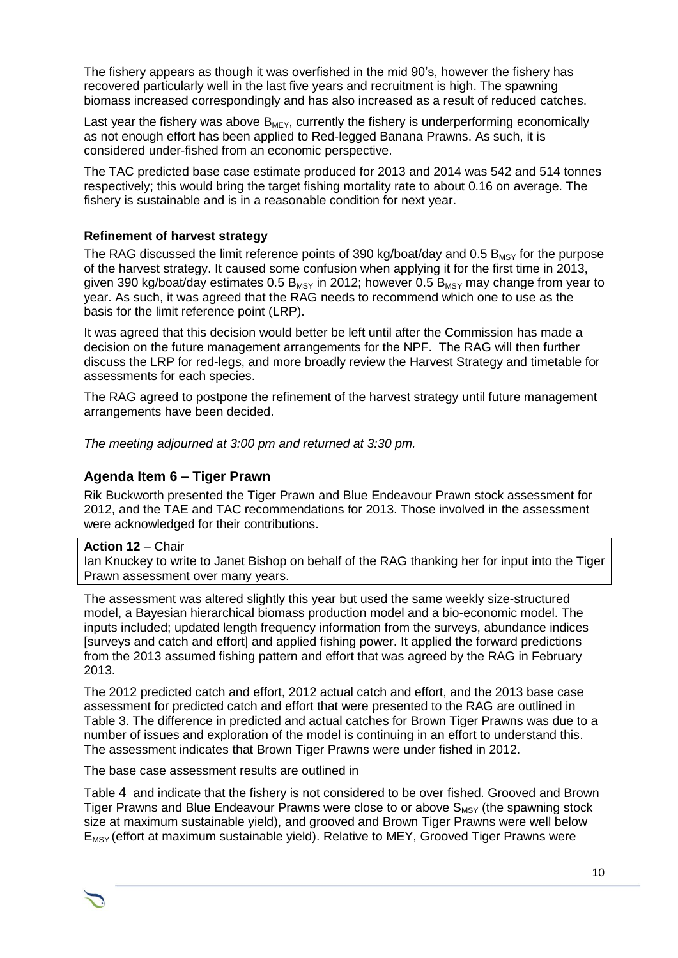The fishery appears as though it was overfished in the mid 90's, however the fishery has recovered particularly well in the last five years and recruitment is high. The spawning biomass increased correspondingly and has also increased as a result of reduced catches.

Last year the fishery was above  $B_{M E Y}$ , currently the fishery is underperforming economically as not enough effort has been applied to Red-legged Banana Prawns. As such, it is considered under-fished from an economic perspective.

The TAC predicted base case estimate produced for 2013 and 2014 was 542 and 514 tonnes respectively; this would bring the target fishing mortality rate to about 0.16 on average. The fishery is sustainable and is in a reasonable condition for next year.

## **Refinement of harvest strategy**

The RAG discussed the limit reference points of 390 kg/boat/day and 0.5  $B_{MSY}$  for the purpose of the harvest strategy. It caused some confusion when applying it for the first time in 2013, given 390 kg/boat/day estimates 0.5  $B_{MSY}$  in 2012; however 0.5  $B_{MSY}$  may change from year to year. As such, it was agreed that the RAG needs to recommend which one to use as the basis for the limit reference point (LRP).

It was agreed that this decision would better be left until after the Commission has made a decision on the future management arrangements for the NPF. The RAG will then further discuss the LRP for red-legs, and more broadly review the Harvest Strategy and timetable for assessments for each species.

The RAG agreed to postpone the refinement of the harvest strategy until future management arrangements have been decided.

*The meeting adjourned at 3:00 pm and returned at 3:30 pm.*

## **Agenda Item 6 – Tiger Prawn**

Rik Buckworth presented the Tiger Prawn and Blue Endeavour Prawn stock assessment for 2012, and the TAE and TAC recommendations for 2013. Those involved in the assessment were acknowledged for their contributions.

#### **Action 12** – Chair

Ian Knuckey to write to Janet Bishop on behalf of the RAG thanking her for input into the Tiger Prawn assessment over many years.

The assessment was altered slightly this year but used the same weekly size-structured model, a Bayesian hierarchical biomass production model and a bio-economic model. The inputs included; updated length frequency information from the surveys, abundance indices [surveys and catch and effort] and applied fishing power. It applied the forward predictions from the 2013 assumed fishing pattern and effort that was agreed by the RAG in February 2013.

The 2012 predicted catch and effort, 2012 actual catch and effort, and the 2013 base case assessment for predicted catch and effort that were presented to the RAG are outlined in [Table 3.](#page-10-0) The difference in predicted and actual catches for Brown Tiger Prawns was due to a number of issues and exploration of the model is continuing in an effort to understand this. The assessment indicates that Brown Tiger Prawns were under fished in 2012.

The base case assessment results are outlined in

[Table](#page-10-1) 4 and indicate that the fishery is not considered to be over fished. Grooved and Brown Tiger Prawns and Blue Endeavour Prawns were close to or above  $S_{\text{MSV}}$  (the spawning stock size at maximum sustainable yield), and grooved and Brown Tiger Prawns were well below  $E_{MSY}$  (effort at maximum sustainable yield). Relative to MEY, Grooved Tiger Prawns were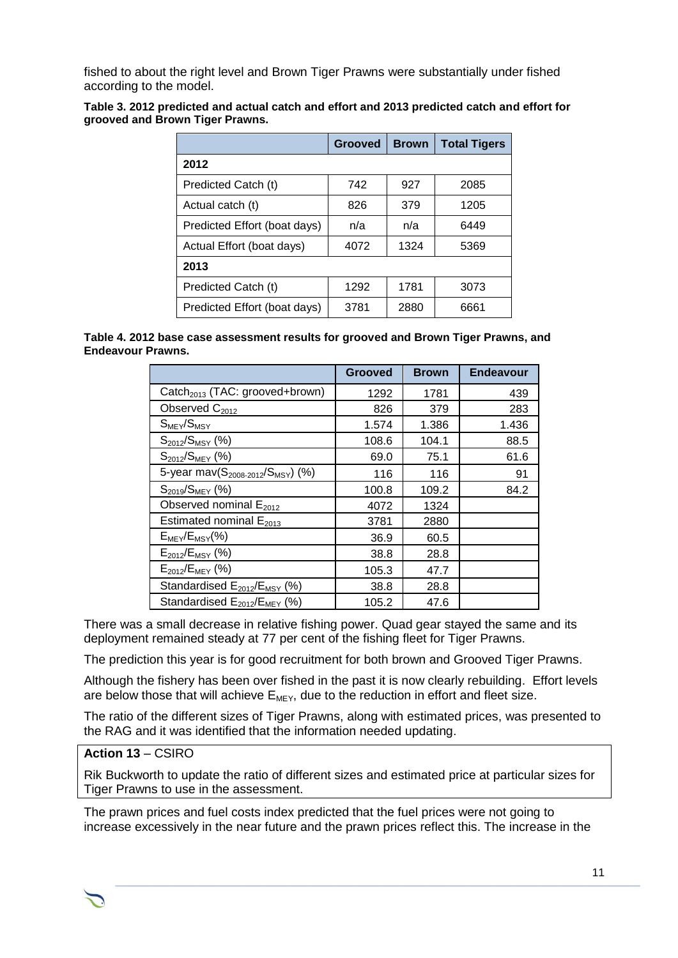fished to about the right level and Brown Tiger Prawns were substantially under fished according to the model.

<span id="page-10-0"></span>

| Table 3. 2012 predicted and actual catch and effort and 2013 predicted catch and effort for |  |
|---------------------------------------------------------------------------------------------|--|
| grooved and Brown Tiger Prawns.                                                             |  |

|                              | <b>Grooved</b> | <b>Brown</b> | <b>Total Tigers</b> |  |
|------------------------------|----------------|--------------|---------------------|--|
| 2012                         |                |              |                     |  |
| Predicted Catch (t)          | 742            | 927          | 2085                |  |
| Actual catch (t)             | 826            | 379          | 1205                |  |
| Predicted Effort (boat days) | n/a            | n/a          | 6449                |  |
| Actual Effort (boat days)    | 4072           | 1324         | 5369                |  |
| 2013                         |                |              |                     |  |
| Predicted Catch (t)          | 1292           | 1781         | 3073                |  |
| Predicted Effort (boat days) | 3781           | 2880         | 6661                |  |

<span id="page-10-1"></span>**Table 4. 2012 base case assessment results for grooved and Brown Tiger Prawns, and Endeavour Prawns.**

|                                                           | <b>Grooved</b> | <b>Brown</b> | <b>Endeavour</b> |
|-----------------------------------------------------------|----------------|--------------|------------------|
| Catch <sub>2013</sub> (TAC: grooved+brown)                | 1292           | 1781         | 439              |
| Observed C <sub>2012</sub>                                | 826            | 379          | 283              |
| $S_{\text{MEY}}/S_{\text{MSY}}$                           | 1.574          | 1.386        | 1.436            |
| $S_{2012}/S_{MSY}$ (%)                                    | 108.6          | 104.1        | 88.5             |
| $S_{2012}/S_{M EY}$ (%)                                   | 69.0           | 75.1         | 61.6             |
| 5-year mav(S <sub>2008-2012</sub> /S <sub>MSY</sub> ) (%) | 116            | 116          | 91               |
| $S_{2019}/S_{M EY}$ (%)                                   | 100.8          | 109.2        | 84.2             |
| Observed nominal $E_{2012}$                               | 4072           | 1324         |                  |
| Estimated nominal $E_{2013}$                              | 3781           | 2880         |                  |
| $E_{\text{MEY}}/E_{\text{MSY}}(\%)$                       | 36.9           | 60.5         |                  |
| $E_{2012}/E_{MSY}$ (%)                                    | 38.8           | 28.8         |                  |
| $E_{2012}/E_{MEV}$ (%)                                    | 105.3          | 47.7         |                  |
| Standardised E <sub>2012</sub> /E <sub>MSY</sub> (%)      | 38.8           | 28.8         |                  |
| Standardised E <sub>2012</sub> /E <sub>MEY</sub> (%)      | 105.2          | 47.6         |                  |

There was a small decrease in relative fishing power. Quad gear stayed the same and its deployment remained steady at 77 per cent of the fishing fleet for Tiger Prawns.

The prediction this year is for good recruitment for both brown and Grooved Tiger Prawns.

Although the fishery has been over fished in the past it is now clearly rebuilding. Effort levels are below those that will achieve  $E_{M E Y}$ , due to the reduction in effort and fleet size.

The ratio of the different sizes of Tiger Prawns, along with estimated prices, was presented to the RAG and it was identified that the information needed updating.

## **Action 13** – CSIRO

Rik Buckworth to update the ratio of different sizes and estimated price at particular sizes for Tiger Prawns to use in the assessment.

The prawn prices and fuel costs index predicted that the fuel prices were not going to increase excessively in the near future and the prawn prices reflect this. The increase in the